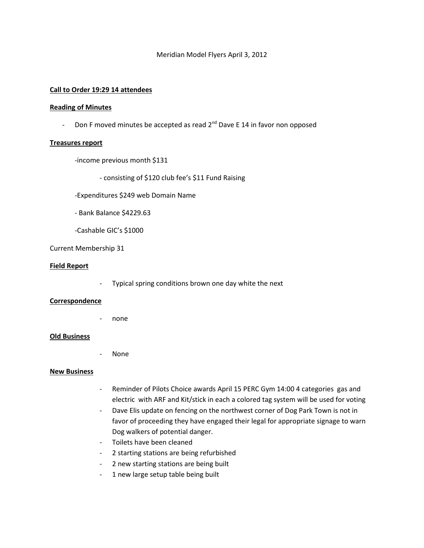## Meridian Model Flyers April 3, 2012

## **Call to Order 19:29 14 attendees**

#### **Reading of Minutes**

- Don F moved minutes be accepted as read 2<sup>nd</sup> Dave E 14 in favor non opposed

## **Treasures report**

-income previous month \$131

- consisting of \$120 club fee's \$11 Fund Raising

- -Expenditures \$249 web Domain Name
- Bank Balance \$4229.63
- -Cashable GIC's \$1000

## Current Membership 31

#### **Field Report**

- Typical spring conditions brown one day white the next

## **Correspondence**

none

## **Old Business**

None

## **New Business**

- Reminder of Pilots Choice awards April 15 PERC Gym 14:00 4 categories gas and electric with ARF and Kit/stick in each a colored tag system will be used for voting
- Dave Elis update on fencing on the northwest corner of Dog Park Town is not in favor of proceeding they have engaged their legal for appropriate signage to warn Dog walkers of potential danger.
- Toilets have been cleaned
- 2 starting stations are being refurbished
- 2 new starting stations are being built
- 1 new large setup table being built